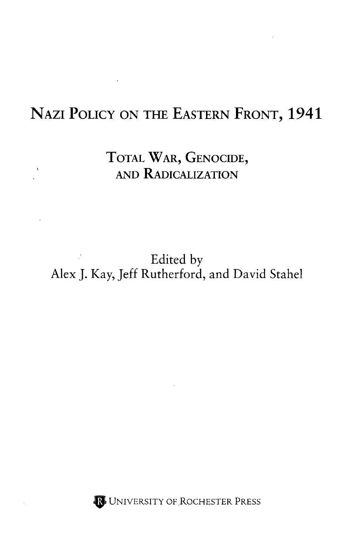## NAZI POLICY ON THE EASTERN FRONT, 1941

TOTAL WAR, GENOCIDE, AND RADICALIZATION

 $\Lambda_{\rm{max}}$ 

## $\label{eq:2.1} \mathcal{L}^{\text{max}}_{\text{max}} = \mathcal{L}^{\text{max}}_{\text{max}}$ Edited by Alex J. Kay, Jeff Rutherford, and David Stahel

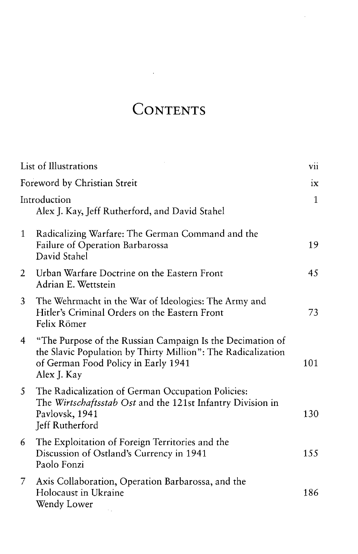## **CONTENTS**

 $\Delta \sim 10^{11}$ 

l,

|                              | List of Illustrations                                                                                                                                                           |              |
|------------------------------|---------------------------------------------------------------------------------------------------------------------------------------------------------------------------------|--------------|
| Foreword by Christian Streit |                                                                                                                                                                                 | iх           |
|                              | Introduction<br>Alex J. Kay, Jeff Rutherford, and David Stahel                                                                                                                  | $\mathbf{1}$ |
| $\mathbf{1}$                 | Radicalizing Warfare: The German Command and the<br>Failure of Operation Barbarossa<br>David Stahel                                                                             | 19           |
| 2                            | Urban Warfare Doctrine on the Eastern Front<br>Adrian E. Wettstein                                                                                                              | 45           |
| 3                            | The Wehrmacht in the War of Ideologies: The Army and<br>Hitler's Criminal Orders on the Eastern Front<br>Felix Römer                                                            | 73           |
| 4                            | "The Purpose of the Russian Campaign Is the Decimation of<br>the Slavic Population by Thirty Million": The Radicalization<br>of German Food Policy in Early 1941<br>Alex J. Kay | 101          |
| 5.                           | The Radicalization of German Occupation Policies:<br>The Wirtschaftsstab Ost and the 121st Infantry Division in<br>Pavlovsk, 1941<br>Jeff Rutherford                            | 130          |
| 6                            | The Exploitation of Foreign Territories and the<br>Discussion of Ostland's Currency in 1941<br>Paolo Fonzi                                                                      | 155          |
| $7^{\circ}$                  | Axis Collaboration, Operation Barbarossa, and the<br>Holocaust in Ukraine<br>Wendy Lower<br><b>CONTRACTOR</b>                                                                   | 186          |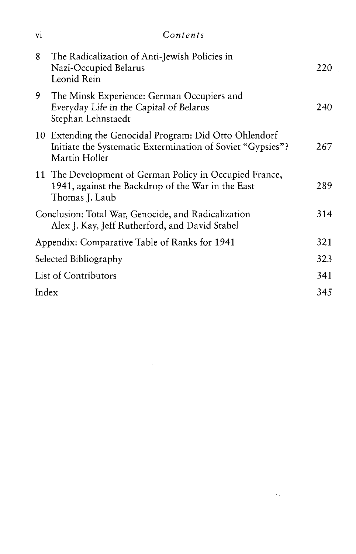| V <sub>1</sub>                                | Contents                                                                                                                              |     |
|-----------------------------------------------|---------------------------------------------------------------------------------------------------------------------------------------|-----|
| 8                                             | The Radicalization of Anti-Jewish Policies in<br>Nazi-Occupied Belarus<br>Leonid Rein                                                 | 220 |
| 9                                             | The Minsk Experience: German Occupiers and<br>Everyday Life in the Capital of Belarus<br>Stephan Lehnstaedt                           | 240 |
|                                               | 10 Extending the Genocidal Program: Did Otto Ohlendorf<br>Initiate the Systematic Extermination of Soviet "Gypsies"?<br>Martin Holler | 267 |
|                                               | 11 The Development of German Policy in Occupied France,<br>1941, against the Backdrop of the War in the East<br>Thomas J. Laub        | 289 |
|                                               | Conclusion: Total War, Genocide, and Radicalization<br>Alex J. Kay, Jeff Rutherford, and David Stahel                                 | 314 |
| Appendix: Comparative Table of Ranks for 1941 |                                                                                                                                       | 321 |
| Selected Bibliography                         |                                                                                                                                       | 323 |
| <b>List of Contributors</b>                   |                                                                                                                                       | 341 |
| Index                                         |                                                                                                                                       | 345 |
|                                               |                                                                                                                                       |     |

 $\label{eq:2.1} \mathcal{L}(\mathcal{L}^{\text{max}}_{\mathcal{L}}(\mathcal{L}^{\text{max}}_{\mathcal{L}})) \leq \mathcal{L}(\mathcal{L}^{\text{max}}_{\mathcal{L}}(\mathcal{L}^{\text{max}}_{\mathcal{L}}))$ 

 $\langle \cdot, \cdot \rangle$